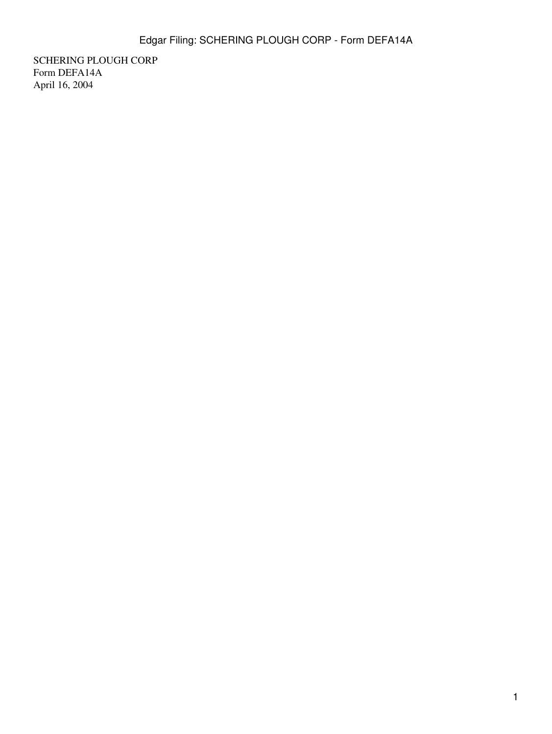SCHERING PLOUGH CORP Form DEFA14A April 16, 2004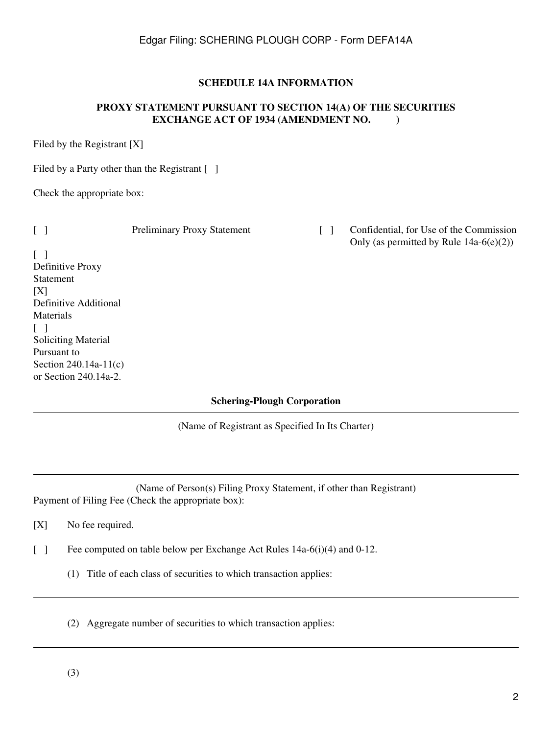## **SCHEDULE 14A INFORMATION**

## **PROXY STATEMENT PURSUANT TO SECTION 14(A) OF THE SECURITIES EXCHANGE ACT OF 1934 (AMENDMENT NO. )**

Filed by the Registrant [X]

Filed by a Party other than the Registrant [ ]

Check the appropriate box:

[ ] Preliminary Proxy Statement [ ] Confidential, for Use of the Commission

 $\lceil$   $\rceil$ Definitive Proxy Statement  $[X]$ Definitive Additional Materials  $\lceil$   $\rceil$ Soliciting Material Pursuant to Section 240.14a-11(c) or Section 240.14a-2.

Only (as permitted by Rule  $14a-6(e)(2)$ )

**Schering-Plough Corporation**

(Name of Registrant as Specified In Its Charter)

(Name of Person(s) Filing Proxy Statement, if other than Registrant) Payment of Filing Fee (Check the appropriate box):

- [X] No fee required.
- [ ] Fee computed on table below per Exchange Act Rules 14a-6(i)(4) and 0-12.
	- (1) Title of each class of securities to which transaction applies:

(2) Aggregate number of securities to which transaction applies: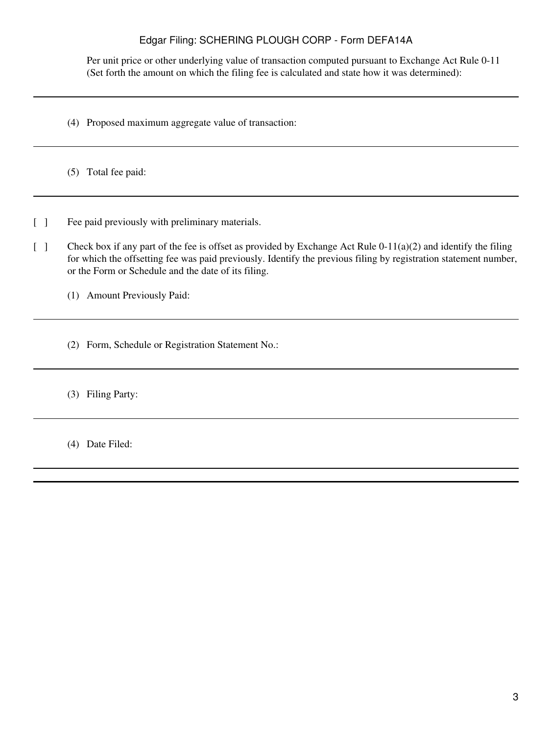## Edgar Filing: SCHERING PLOUGH CORP - Form DEFA14A

Per unit price or other underlying value of transaction computed pursuant to Exchange Act Rule 0-11 (Set forth the amount on which the filing fee is calculated and state how it was determined):

(4) Proposed maximum aggregate value of transaction:

(5) Total fee paid:

- [ ] Fee paid previously with preliminary materials.
- [ ] Check box if any part of the fee is offset as provided by Exchange Act Rule  $0-11(a)(2)$  and identify the filing for which the offsetting fee was paid previously. Identify the previous filing by registration statement number, or the Form or Schedule and the date of its filing.

(1) Amount Previously Paid:

(2) Form, Schedule or Registration Statement No.:

(3) Filing Party:

(4) Date Filed: